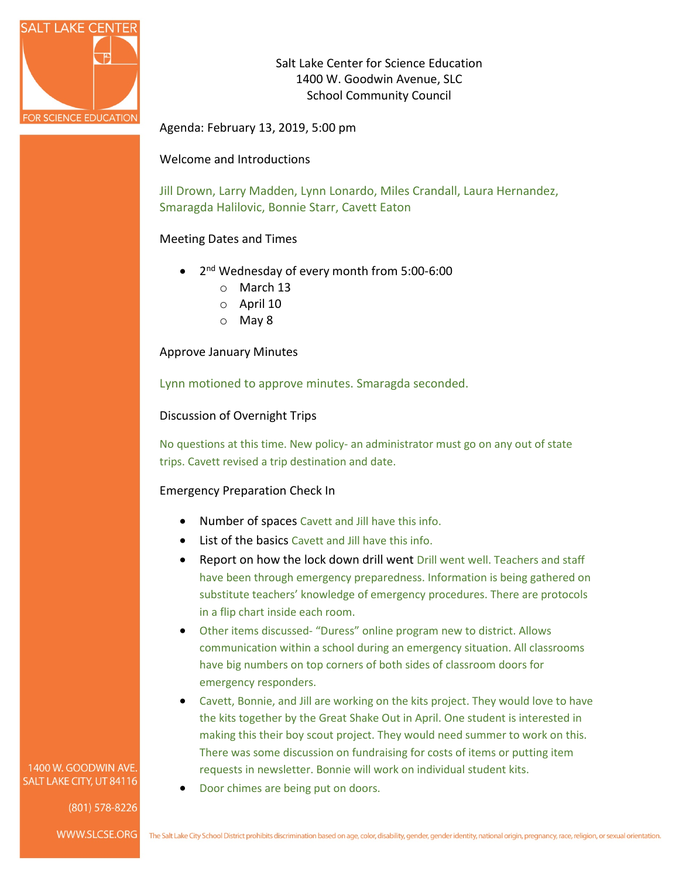

Salt Lake Center for Science Education 1400 W. Goodwin Avenue, SLC School Community Council

Agenda: February 13, 2019, 5:00 pm

Welcome and Introductions

Jill Drown, Larry Madden, Lynn Lonardo, Miles Crandall, Laura Hernandez, Smaragda Halilovic, Bonnie Starr, Cavett Eaton

## Meeting Dates and Times

- 2<sup>nd</sup> Wednesday of every month from 5:00-6:00
	- o March 13
	- o April 10
	- o May 8

Approve January Minutes

Lynn motioned to approve minutes. Smaragda seconded.

### Discussion of Overnight Trips

No questions at this time. New policy- an administrator must go on any out of state trips. Cavett revised a trip destination and date.

### Emergency Preparation Check In

- Number of spaces Cavett and Jill have this info.
- List of the basics Cavett and Jill have this info.
- Report on how the lock down drill went Drill went well. Teachers and staff have been through emergency preparedness. Information is being gathered on substitute teachers' knowledge of emergency procedures. There are protocols in a flip chart inside each room.
- Other items discussed- "Duress" online program new to district. Allows communication within a school during an emergency situation. All classrooms have big numbers on top corners of both sides of classroom doors for emergency responders.
- Cavett, Bonnie, and Jill are working on the kits project. They would love to have the kits together by the Great Shake Out in April. One student is interested in making this their boy scout project. They would need summer to work on this. There was some discussion on fundraising for costs of items or putting item requests in newsletter. Bonnie will work on individual student kits.
- Door chimes are being put on doors.

1400 W. GOODWIN AVE. SALT LAKE CITY, UT 84116

(801) 578-8226

WWW.SLCSE.ORG